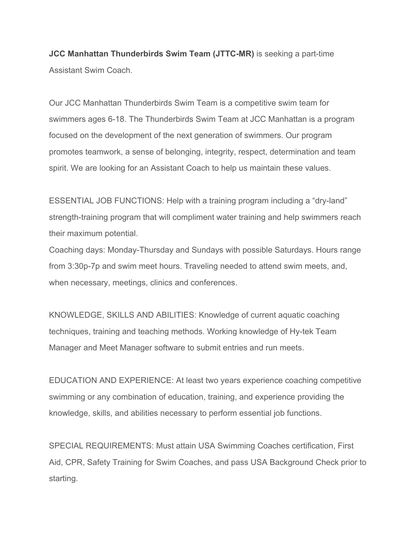**JCC Manhattan Thunderbirds Swim Team (JTTC-MR)** is seeking a part-time Assistant Swim Coach.

Our JCC Manhattan Thunderbirds Swim Team is a competitive swim team for swimmers ages 6-18. The Thunderbirds Swim Team at JCC Manhattan is a program focused on the development of the next generation of swimmers. Our program promotes teamwork, a sense of belonging, integrity, respect, determination and team spirit. We are looking for an Assistant Coach to help us maintain these values.

ESSENTIAL JOB FUNCTIONS: Help with a training program including a "dry-land" strength-training program that will compliment water training and help swimmers reach their maximum potential.

Coaching days: Monday-Thursday and Sundays with possible Saturdays. Hours range from 3:30p-7p and swim meet hours. Traveling needed to attend swim meets, and, when necessary, meetings, clinics and conferences.

KNOWLEDGE, SKILLS AND ABILITIES: Knowledge of current aquatic coaching techniques, training and teaching methods. Working knowledge of Hy-tek Team Manager and Meet Manager software to submit entries and run meets.

EDUCATION AND EXPERIENCE: At least two years experience coaching competitive swimming or any combination of education, training, and experience providing the knowledge, skills, and abilities necessary to perform essential job functions.

SPECIAL REQUIREMENTS: Must attain USA Swimming Coaches certification, First Aid, CPR, Safety Training for Swim Coaches, and pass USA Background Check prior to starting.